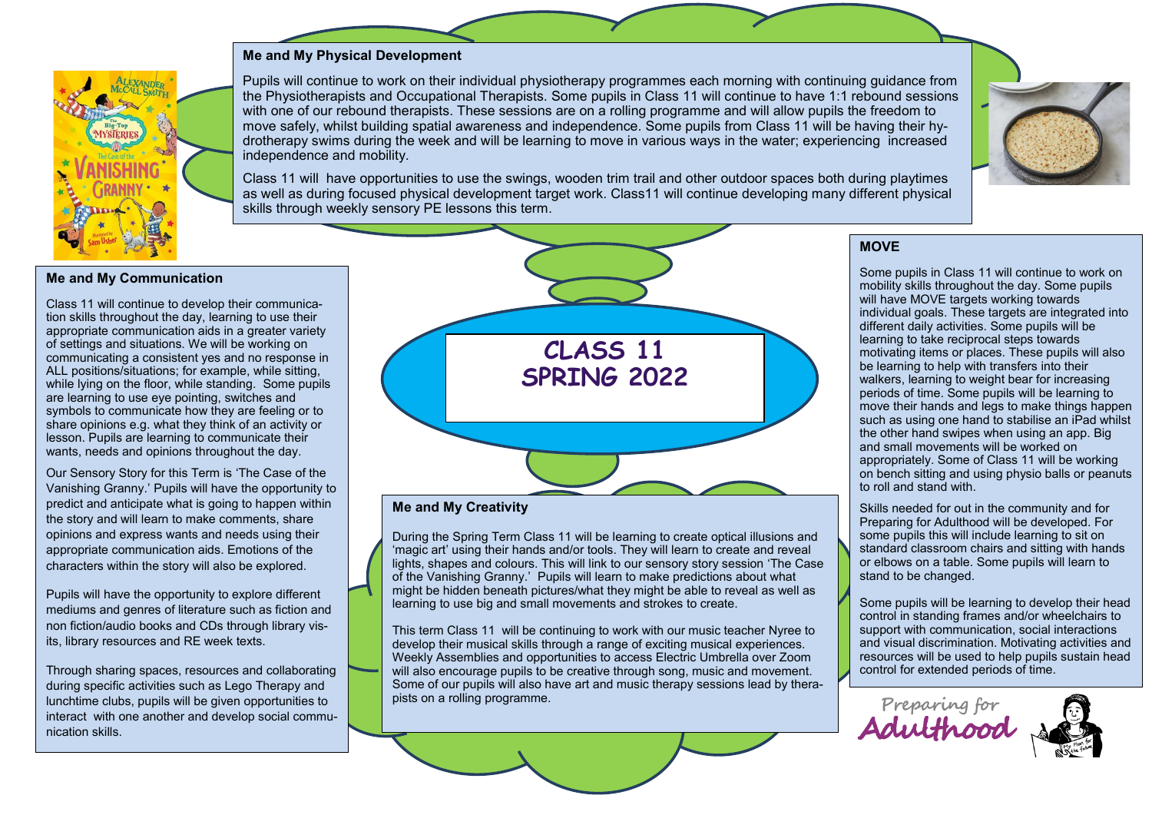### **Me and My Physical Development**



Pupils will continue to work on their individual physiotherapy programmes each morning with continuing guidance from the Physiotherapists and Occupational Therapists. Some pupils in Class 11 will continue to have 1:1 rebound sessions with one of our rebound therapists. These sessions are on a rolling programme and will allow pupils the freedom to move safely, whilst building spatial awareness and independence. Some pupils from Class 11 will be having their hydrotherapy swims during the week and will be learning to move in various ways in the water; experiencing increased independence and mobility.



Class 11 will have opportunities to use the swings, wooden trim trail and other outdoor spaces both during playtimes as well as during focused physical development target work. Class11 will continue developing many different physical skills through weekly sensory PE lessons this term.

#### **Me and My Communication**

Class 11 will continue to develop their communication skills throughout the day, learning to use their appropriate communication aids in a greater variety of settings and situations. We will be working on communicating a consistent yes and no response in ALL positions/situations; for example, while sitting, while lying on the floor, while standing. Some pupils are learning to use eye pointing, switches and symbols to communicate how they are feeling or to share opinions e.g. what they think of an activity or lesson. Pupils are learning to communicate their wants, needs and opinions throughout the day.

Our Sensory Story for this Term is 'The Case of the Vanishing Granny.' Pupils will have the opportunity to predict and anticipate what is going to happen within the story and will learn to make comments, share opinions and express wants and needs using their appropriate communication aids. Emotions of the characters within the story will also be explored.

Pupils will have the opportunity to explore different mediums and genres of literature such as fiction and non fiction/audio books and CDs through library visits, library resources and RE week texts.

Through sharing spaces, resources and collaborating during specific activities such as Lego Therapy and lunchtime clubs, pupils will be given opportunities to interact with one another and develop social communication skills.



#### **Me and My Creativity**

During the Spring Term Class 11 will be learning to create optical illusions and 'magic art' using their hands and/or tools. They will learn to create and reveal lights, shapes and colours. This will link to our sensory story session 'The Case of the Vanishing Granny.' Pupils will learn to make predictions about what might be hidden beneath pictures/what they might be able to reveal as well as learning to use big and small movements and strokes to create.

This term Class 11 will be continuing to work with our music teacher Nyree to develop their musical skills through a range of exciting musical experiences. Weekly Assemblies and opportunities to access Electric Umbrella over Zoom will also encourage pupils to be creative through song, music and movement. Some of our pupils will also have art and music therapy sessions lead by therapists on a rolling programme.

### **MOVE**

Some pupils in Class 11 will continue to work on mobility skills throughout the day. Some pupils will have MOVE targets working towards individual goals. These targets are integrated into different daily activities. Some pupils will be learning to take reciprocal steps towards motivating items or places. These pupils will also be learning to help with transfers into their walkers, learning to weight bear for increasing periods of time. Some pupils will be learning to move their hands and legs to make things happen such as using one hand to stabilise an iPad whilst the other hand swipes when using an app. Big and small movements will be worked on appropriately. Some of Class 11 will be working on bench sitting and using physio balls or peanuts to roll and stand with.

Skills needed for out in the community and for Preparing for Adulthood will be developed. For some pupils this will include learning to sit on standard classroom chairs and sitting with hands or elbows on a table. Some pupils will learn to stand to be changed.

Some pupils will be learning to develop their head control in standing frames and/or wheelchairs to support with communication, social interactions and visual discrimination. Motivating activities and resources will be used to help pupils sustain head control for extended periods of time.